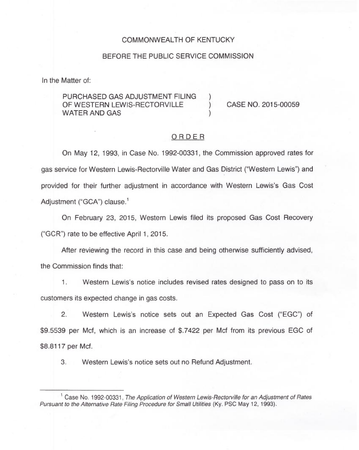#### COMMONWEALTH OF KENTUCKY

#### BEFORE THE PUBLIC SERVICE COMMISSION

In the Matter of:

## PURCHASED GAS ADJUSTMENT FILING )<br>OF WESTERN LEWIS-RECTORVILLE OF WESTERN LEWIS-RECTORVILLE ) CASE NO. 2015-00059 WATER AND GAS

#### ORDER

On May 12, 1993, in Case No. 1992-00331, the Commission approved rates for gas service for Western Lewis-Rectorville Water and Gas District ("Western Lewis") and provided for their further adjustment in accordance with Western Lewis's Gas Cost Adjustment ("GCA") clause.<sup>1</sup>

February 23, 2015, Western Lewis filed its proposed Gas Cost Recovery ("GCR") rate to be effective April 1, 2015.

After reviewing the record in this case and being otherwise sufficiently advised, the Commission finds that:

1. Western Lewis's notice includes revised rates designed to pass on to its customers its expected change in gas costs.

2. Western Lewis's notice sets out an Expected Gas Cost ("EGC") of \$9.5539 per Mcf, which is an increase of \$.7422 per Mcf from its previous EGC of \$8.8117 per Mcf.

3. Western Lewis's notice sets out no Refund Adjustment.

 $^1$  Case No. 1992-00331, The Application of Western Lewis-Rectorville for an Adjustment of Rates Pursuant to the Alternative Rate Filing Procedure for Small Utilities (Ky. PSC May 12, 1993).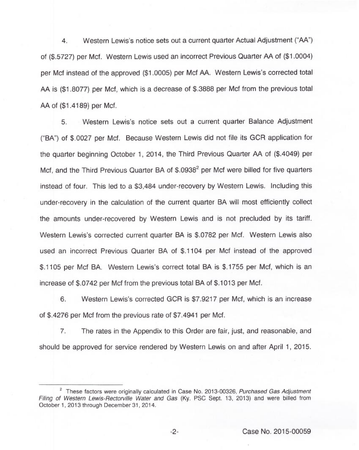4. Western Lewis's notice sets out a current quarter Actual Adjustment ("AA") of (\$.5727) per Mcf. Western Lewis used an incorrect Previous Quarter AA of (\$1.0004) per Mcf instead of the approved (\$1.0005) per Mcf AA. Western Lewis's corrected total AA is (\$1.8077) per Mcf, which is a decrease of \$.3888 per Mcf from the previous total AA of (\$1.4189) per Mcf.

5. Western Lewis's notice sets out a current quarter Balance Adjustment ("BA") of \$.0027 per Mcf. Because Western Lewis did not file its GCR application for the quarter beginning October 1, 2014, the Third Previous Quarter AA of (\$.4049) per Mcf, and the Third Previous Quarter BA of  $$.0938<sup>2</sup>$  per Mcf were billed for five quarters instead of four. This led to a \$3,484 under-recovery by Western Lewis. Including this under-recovery in the calculation of the current quarter BA will most efficiently collect the amounts under-recovered by Western Lewis and is not precluded by its tariff. Western Lewis's corrected current quarter BA is \$.0782 per Mcf. Western Lewis also used an incorrect Previous Quarter BA of \$.1104 per Mcf instead of the approved \$.1105 per Mcf BA. Western Lewis's correct total BA is \$.1755 per Mcf, which is an increase of  $$.0742$  per Mcf from the previous total BA of  $$.1013$  per Mcf.

6. Western Lewis's corrected GCR is \$7.9217 per Mcf, which is an increase of \$.4276 per Mcf from the previous rate of \$7.4941 per Mcf.

7. The rates in the Appendix to this Order are fair, just, and reasonable, and should be approved for service rendered by Western Lewis on and after April 1, 2015.

 $2$  These factors were originally calculated in Case No. 2013-00326, Purchased Gas Adjustment Filing of Western Lewis-Rectorville Water and Gas (Ky. PSC Sept. 13, 2013) and were billed from October 1, 2013 through December 31, 2014.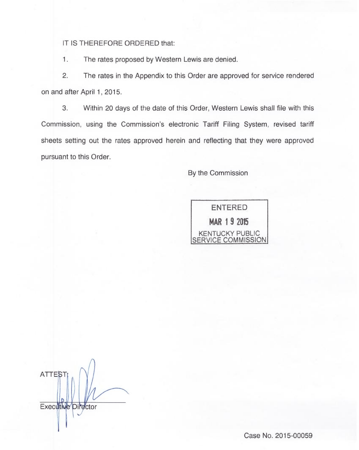IT IS THEREFORE ORDERED that:

1. The rates proposed by Western Lewis are denied.

2. The rates in the Appendix to this Order are approved for service rendered on and after April 1, 2015.

3. Within 20 days of the date of this Order, Western Lewis shall file with this Commission, using the Commission's electronic Tariff Filing System, revised tariff sheets setting out the rates approved herein and reflecting that they were approved pursuant to this Order.

By the Commission

ENTERED MAR 19 <sup>2015</sup> KENTUCKY PUBLIC <u>SERVICE COMMISSION</u>

**ATTEST** Executive Director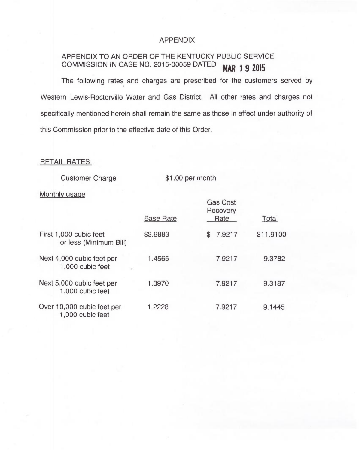## APPENDIX

# APPENDIX TO AN ORDER OF THE KENTUCKY PUBLIC SERVICE COMMISSION IN CASE NO. 2015-00059 DATED MAR 1 9 2015

The following rates and charges are prescribed for the customers served by Western Lewis-Rectorville Water and Gas District. All other rates and charges not specifically mentioned herein shall remain the same as those in effect under authority of this Commission prior to the effective date of this Order.

## RETAIL RATES:

Customer Charge

\$1.00 per month

#### Monthly usage

|                                                  |                  | <b>Gas Cost</b><br>Recovery |           |
|--------------------------------------------------|------------------|-----------------------------|-----------|
|                                                  | <b>Base Rate</b> | Rate                        | Total     |
| First 1,000 cubic feet<br>or less (Minimum Bill) | \$3.9883         | 7.9217<br>S                 | \$11.9100 |
| Next 4,000 cubic feet per<br>1,000 cubic feet    | 1.4565           | 7.9217                      | 9.3782    |
| Next 5,000 cubic feet per<br>1,000 cubic feet    | 1.3970           | 7.9217                      | 9.3187    |
| Over 10,000 cubic feet per<br>1,000 cubic feet   | 1.2228           | 7.9217                      | 9.1445    |